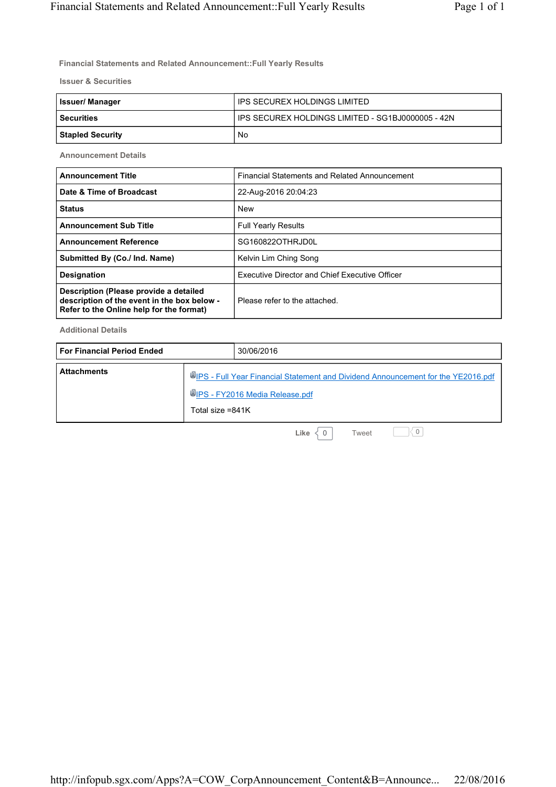**Financial Statements and Related Announcement::Full Yearly Results**

**Issuer & Securities**

| <b>Issuer/Manager</b> | IPS SECUREX HOLDINGS LIMITED                        |  |  |
|-----------------------|-----------------------------------------------------|--|--|
| l Securities          | I IPS SECUREX HOLDINGS LIMITED - SG1BJ0000005 - 42N |  |  |
| Stapled Security      | No                                                  |  |  |

**Announcement Details**

| <b>Announcement Title</b>                                                                                                         | Financial Statements and Related Announcement         |
|-----------------------------------------------------------------------------------------------------------------------------------|-------------------------------------------------------|
| Date & Time of Broadcast                                                                                                          | 22-Aug-2016 20:04:23                                  |
| <b>Status</b>                                                                                                                     | <b>New</b>                                            |
| <b>Announcement Sub Title</b>                                                                                                     | <b>Full Yearly Results</b>                            |
| <b>Announcement Reference</b>                                                                                                     | SG160822OTHRJD0L                                      |
| Submitted By (Co./ Ind. Name)                                                                                                     | Kelvin Lim Ching Song                                 |
| <b>Designation</b>                                                                                                                | <b>Executive Director and Chief Executive Officer</b> |
| Description (Please provide a detailed<br>description of the event in the box below -<br>Refer to the Online help for the format) | Please refer to the attached.                         |

**Additional Details**

| l For Financial Period Ended |                    | 30/06/2016                                                                                                                 |
|------------------------------|--------------------|----------------------------------------------------------------------------------------------------------------------------|
| <b>Attachments</b>           | Total size $=841K$ | UPS - Full Year Financial Statement and Dividend Announcement for the YE2016.pdf<br><b>WIPS - FY2016 Media Release.pdf</b> |
|                              |                    |                                                                                                                            |

**Like**  $\begin{array}{c} |0| & 0 \end{array}$  Tweet  $\begin{array}{c} |0| & 0 \end{array}$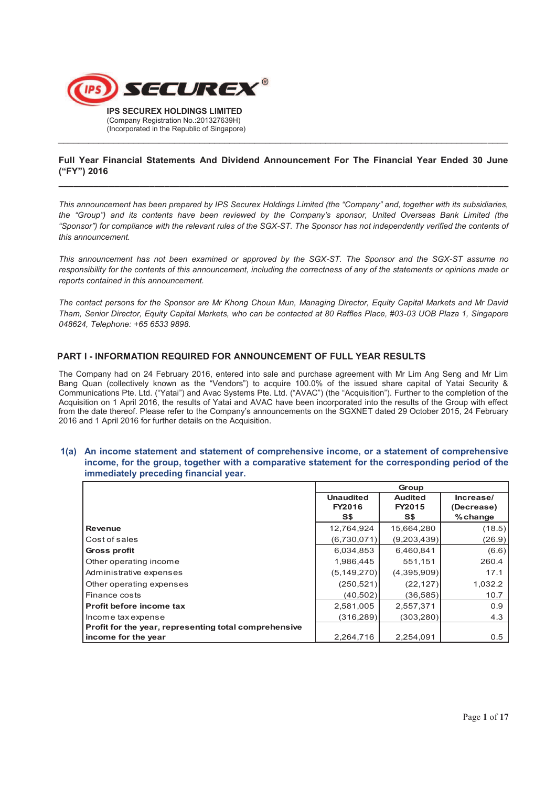

# **Full Year Financial Statements And Dividend Announcement For The Financial Year Ended 30 June ("FY") 2016 \_\_\_\_\_\_\_\_\_\_\_\_\_\_\_\_\_\_\_\_\_\_\_\_\_\_\_\_\_\_\_\_\_\_\_\_\_\_\_\_\_\_\_\_\_\_\_\_\_\_\_\_\_\_\_\_\_\_\_\_\_\_\_\_\_\_\_\_\_\_\_\_\_\_\_\_\_\_\_\_\_\_\_\_\_\_\_\_\_**

 $\_$  , and the set of the set of the set of the set of the set of the set of the set of the set of the set of the set of the set of the set of the set of the set of the set of the set of the set of the set of the set of th

*This announcement has been prepared by IPS Securex Holdings Limited (the "Company" and, together with its subsidiaries, the "Group") and its contents have been reviewed by the Company's sponsor, United Overseas Bank Limited (the "Sponsor") for compliance with the relevant rules of the SGX-ST. The Sponsor has not independently verified the contents of this announcement.* 

*This announcement has not been examined or approved by the SGX-ST. The Sponsor and the SGX-ST assume no responsibility for the contents of this announcement, including the correctness of any of the statements or opinions made or reports contained in this announcement.* 

*The contact persons for the Sponsor are Mr Khong Choun Mun, Managing Director, Equity Capital Markets and Mr David Tham, Senior Director, Equity Capital Markets, who can be contacted at 80 Raffles Place, #03-03 UOB Plaza 1, Singapore 048624, Telephone: +65 6533 9898.* 

## **PART I - INFORMATION REQUIRED FOR ANNOUNCEMENT OF FULL YEAR RESULTS**

The Company had on 24 February 2016, entered into sale and purchase agreement with Mr Lim Ang Seng and Mr Lim Bang Quan (collectively known as the "Vendors") to acquire 100.0% of the issued share capital of Yatai Security & Communications Pte. Ltd. ("Yatai") and Avac Systems Pte. Ltd. ("AVAC") (the "Acquisition"). Further to the completion of the Acquisition on 1 April 2016, the results of Yatai and AVAC have been incorporated into the results of the Group with effect from the date thereof. Please refer to the Company's announcements on the SGXNET dated 29 October 2015, 24 February 2016 and 1 April 2016 for further details on the Acquisition.

#### **1(a) An income statement and statement of comprehensive income, or a statement of comprehensive income, for the group, together with a comparative statement for the corresponding period of the immediately preceding financial year.**

|                                                       | Group            |                |            |
|-------------------------------------------------------|------------------|----------------|------------|
|                                                       | <b>Unaudited</b> | <b>Audited</b> | Increase/  |
|                                                       | FY2016           | FY2015         | (Decrease) |
|                                                       | S\$              | S\$            | $%$ change |
| <b>Revenue</b>                                        | 12,764,924       | 15,664,280     | (18.5)     |
| Cost of sales                                         | (6,730,071)      | (9,203,439)    | (26.9)     |
| Gross profit                                          | 6,034,853        | 6,460,841      | (6.6)      |
| Other operating income                                | 1,986,445        | 551.151        | 260.4      |
| Administrative expenses                               | (5, 149, 270)    | (4,395,909)    | 17.1       |
| Other operating expenses                              | (250, 521)       | (22, 127)      | 1,032.2    |
| Finance costs                                         | (40, 502)        | (36, 585)      | 10.7       |
| Profit before income tax                              | 2,581,005        | 2,557,371      | 0.9        |
| Income tax expense                                    | (316, 289)       | (303, 280)     | 4.3        |
| Profit for the year, representing total comprehensive |                  |                |            |
| income for the year                                   | 2,264,716        | 2,254,091      | 0.5        |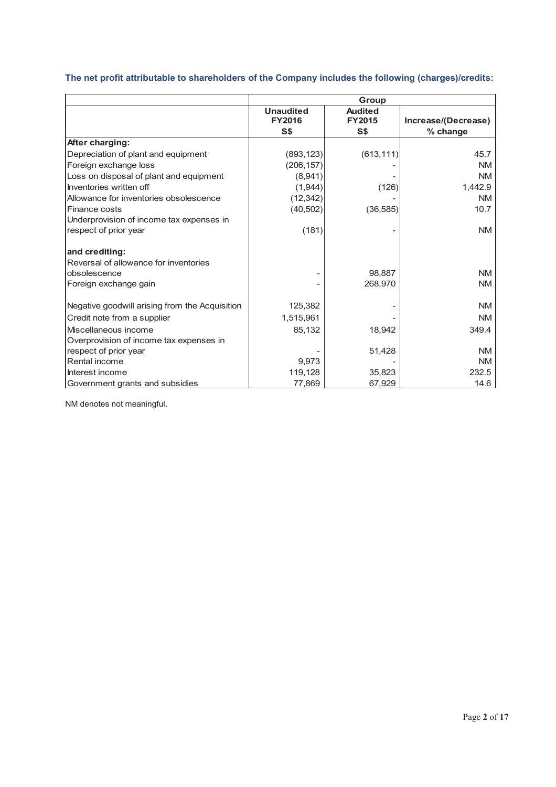| The net profit attributable to shareholders of the Company includes the following (charges)/credits: |       |
|------------------------------------------------------------------------------------------------------|-------|
|                                                                                                      | Group |

|                                                | Group            |                |                     |  |
|------------------------------------------------|------------------|----------------|---------------------|--|
|                                                | <b>Unaudited</b> | <b>Audited</b> |                     |  |
|                                                | <b>FY2016</b>    | <b>FY2015</b>  | Increase/(Decrease) |  |
|                                                | S\$              | S\$            | % change            |  |
| After charging:                                |                  |                |                     |  |
| Depreciation of plant and equipment            | (893, 123)       | (613, 111)     | 45.7                |  |
| Foreign exchange loss                          | (206, 157)       |                | NM.                 |  |
| Loss on disposal of plant and equipment        | (8,941)          |                | <b>NM</b>           |  |
| Inventories written off                        | (1,944)          | (126)          | 1,442.9             |  |
| Allowance for inventories obsolescence         | (12, 342)        |                | NM.                 |  |
| Finance costs                                  | (40, 502)        | (36, 585)      | 10.7                |  |
| Underprovision of income tax expenses in       |                  |                |                     |  |
| respect of prior year                          | (181)            |                | <b>NM</b>           |  |
| and crediting:                                 |                  |                |                     |  |
| Reversal of allowance for inventories          |                  |                |                     |  |
| obsolescence                                   |                  | 98.887         | NM.                 |  |
| Foreign exchange gain                          |                  | 268,970        | <b>NM</b>           |  |
| Negative goodwill arising from the Acquisition | 125,382          |                | <b>NM</b>           |  |
| Credit note from a supplier                    | 1,515,961        |                | <b>NM</b>           |  |
| Miscellaneous income                           | 85,132           | 18,942         | 349.4               |  |
| Overprovision of income tax expenses in        |                  |                |                     |  |
| respect of prior year                          |                  | 51,428         | <b>NM</b>           |  |
| Rental income                                  | 9,973            |                | <b>NM</b>           |  |
| Interest income                                | 119,128          | 35,823         | 232.5               |  |
| Government grants and subsidies                | 77,869           | 67,929         | 14.6                |  |

NM denotes not meaningful.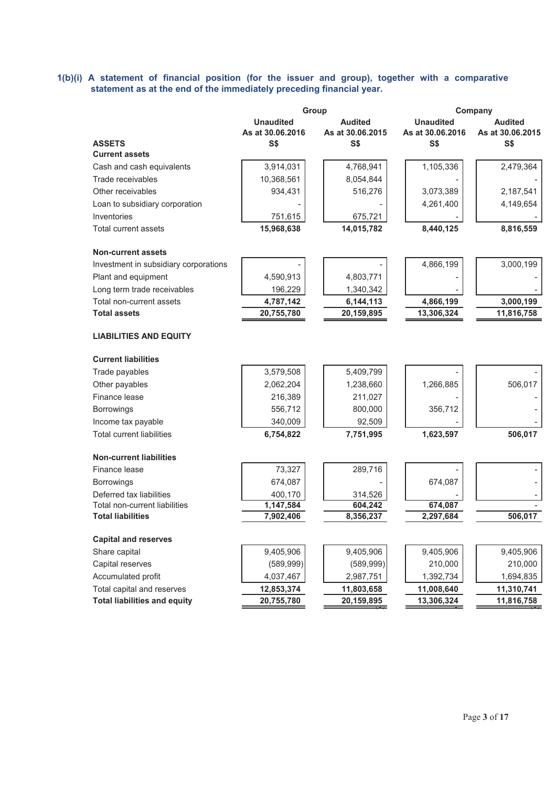#### **1(b)(i) A statement of financial position (for the issuer and group), together with a comparative statement as at the end of the immediately preceding financial year.**

|                                        | Group            |                  |                  | Company          |  |
|----------------------------------------|------------------|------------------|------------------|------------------|--|
|                                        | <b>Unaudited</b> | <b>Audited</b>   | <b>Unaudited</b> | <b>Audited</b>   |  |
|                                        | As at 30.06.2016 | As at 30.06.2015 | As at 30.06.2016 | As at 30.06.2015 |  |
| <b>ASSETS</b><br><b>Current assets</b> | S\$              | S\$              | <b>S\$</b>       | S\$              |  |
| Cash and cash equivalents              | 3,914,031        | 4,768,941        | 1,105,336        | 2,479,364        |  |
| Trade receivables                      | 10,368,561       | 8,054,844        |                  |                  |  |
| Other receivables                      | 934,431          | 516,276          | 3,073,389        | 2,187,541        |  |
| Loan to subsidiary corporation         |                  |                  | 4,261,400        | 4,149,654        |  |
| Inventories                            | 751,615          | 675,721          |                  |                  |  |
| Total current assets                   | 15,968,638       | 14,015,782       | 8,440,125        | 8,816,559        |  |
|                                        |                  |                  |                  |                  |  |
| <b>Non-current assets</b>              |                  |                  |                  |                  |  |
| Investment in subsidiary corporations  |                  |                  | 4,866,199        | 3,000,199        |  |
| Plant and equipment                    | 4,590,913        | 4,803,771        |                  |                  |  |
| Long term trade receivables            | 196,229          | 1,340,342        |                  |                  |  |
| Total non-current assets               | 4,787,142        | 6,144,113        | 4,866,199        | 3,000,199        |  |
| <b>Total assets</b>                    | 20,755,780       | 20,159,895       | 13,306,324       | 11,816,758       |  |
| <b>LIABILITIES AND EQUITY</b>          |                  |                  |                  |                  |  |
| <b>Current liabilities</b>             |                  |                  |                  |                  |  |
| Trade payables                         | 3,579,508        | 5,409,799        |                  |                  |  |
| Other payables                         | 2,062,204        | 1,238,660        | 1,266,885        | 506,017          |  |
| Finance lease                          | 216,389          | 211,027          |                  |                  |  |
| <b>Borrowings</b>                      | 556,712          | 800,000          | 356,712          |                  |  |
| Income tax payable                     | 340,009          | 92,509           |                  |                  |  |
| <b>Total current liabilities</b>       | 6,754,822        | 7,751,995        | 1,623,597        | 506,017          |  |
| <b>Non-current liabilities</b>         |                  |                  |                  |                  |  |
| Finance lease                          | 73,327           | 289,716          |                  |                  |  |
| Borrowings                             | 674,087          |                  | 674,087          |                  |  |
| Deferred tax liabilities               | 400,170          | 314,526          |                  |                  |  |
| Total non-current liabilities          | 1,147,584        | 604,242          | 674,087          |                  |  |
| <b>Total liabilities</b>               | 7,902,406        | 8,356,237        | 2,297,684        | 506,017          |  |
| <b>Capital and reserves</b>            |                  |                  |                  |                  |  |
| Share capital                          | 9,405,906        | 9,405,906        | 9,405,906        | 9,405,906        |  |
| Capital reserves                       | (589, 999)       | (589, 999)       | 210,000          | 210,000          |  |
| Accumulated profit                     | 4,037,467        | 2,987,751        | 1,392,734        | 1,694,835        |  |
| Total capital and reserves             | 12,853,374       | 11,803,658       | 11,008,640       | 11,310,741       |  |
| <b>Total liabilities and equity</b>    | 20,755,780       | 20,159,895       | 13,306,324       | 11,816,758       |  |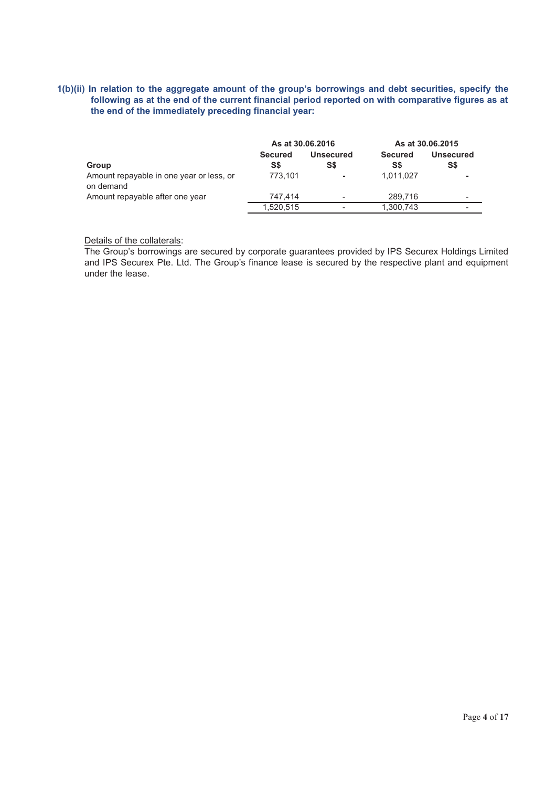# **1(b)(ii) In relation to the aggregate amount of the group's borrowings and debt securities, specify the following as at the end of the current financial period reported on with comparative figures as at the end of the immediately preceding financial year:**

|                                                       | As at 30.06.2016 |           |                | As at 30.06.2015 |
|-------------------------------------------------------|------------------|-----------|----------------|------------------|
|                                                       | <b>Secured</b>   | Unsecured | <b>Secured</b> | <b>Unsecured</b> |
| Group                                                 | S\$              | S\$       | S\$            | S\$              |
| Amount repayable in one year or less, or<br>on demand | 773.101          | $\sim$    | 1.011.027      |                  |
| Amount repayable after one year                       | 747.414          |           | 289.716        |                  |
|                                                       | 1,520,515        |           | 1,300,743      |                  |

Details of the collaterals:

The Group's borrowings are secured by corporate guarantees provided by IPS Securex Holdings Limited and IPS Securex Pte. Ltd. The Group's finance lease is secured by the respective plant and equipment under the lease.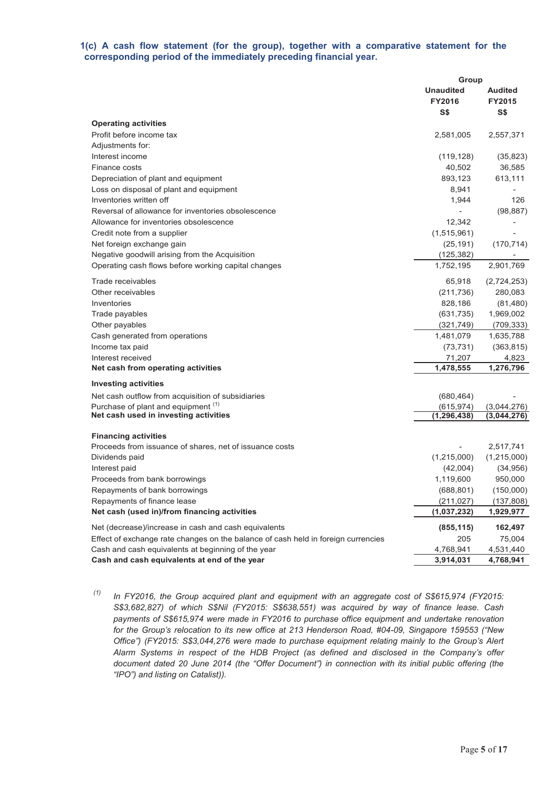# **1(c) A cash flow statement (for the group), together with a comparative statement for the corresponding period of the immediately preceding financial year.**

|                                                                                   | Group            |                |  |
|-----------------------------------------------------------------------------------|------------------|----------------|--|
|                                                                                   | <b>Unaudited</b> | <b>Audited</b> |  |
|                                                                                   | <b>FY2016</b>    | <b>FY2015</b>  |  |
|                                                                                   | S\$              | S\$            |  |
| <b>Operating activities</b>                                                       |                  |                |  |
| Profit before income tax                                                          | 2,581,005        | 2,557,371      |  |
| Adjustments for:                                                                  |                  |                |  |
| Interest income                                                                   | (119, 128)       | (35, 823)      |  |
| Finance costs                                                                     | 40,502           | 36,585         |  |
| Depreciation of plant and equipment                                               | 893,123          | 613,111        |  |
| Loss on disposal of plant and equipment                                           | 8,941            |                |  |
| Inventories written off                                                           | 1,944            | 126            |  |
| Reversal of allowance for inventories obsolescence                                |                  | (98, 887)      |  |
| Allowance for inventories obsolescence                                            | 12,342           |                |  |
| Credit note from a supplier                                                       | (1,515,961)      |                |  |
| Net foreign exchange gain                                                         | (25, 191)        | (170, 714)     |  |
| Negative goodwill arising from the Acquisition                                    | (125, 382)       |                |  |
| Operating cash flows before working capital changes                               | 1,752,195        | 2,901,769      |  |
| Trade receivables                                                                 | 65,918           | (2,724,253)    |  |
| Other receivables                                                                 | (211, 736)       | 280,083        |  |
| Inventories                                                                       | 828,186          | (81, 480)      |  |
| Trade payables                                                                    | (631, 735)       | 1,969,002      |  |
| Other payables                                                                    | (321, 749)       | (709, 333)     |  |
| Cash generated from operations                                                    | 1,481,079        | 1,635,788      |  |
| Income tax paid                                                                   | (73, 731)        | (363, 815)     |  |
| Interest received                                                                 | 71,207           | 4,823          |  |
| Net cash from operating activities                                                | 1,478,555        | 1,276,796      |  |
| <b>Investing activities</b>                                                       |                  |                |  |
| Net cash outflow from acquisition of subsidiaries                                 | (680, 464)       |                |  |
| Purchase of plant and equipment <sup>(1)</sup>                                    | (615, 974)       | (3,044,276)    |  |
| Net cash used in investing activities                                             | (1, 296, 438)    | (3,044,276)    |  |
| <b>Financing activities</b>                                                       |                  |                |  |
| Proceeds from issuance of shares, net of issuance costs                           |                  | 2,517,741      |  |
| Dividends paid                                                                    | (1,215,000)      | (1,215,000)    |  |
| Interest paid                                                                     | (42,004)         | (34, 956)      |  |
| Proceeds from bank borrowings                                                     | 1,119,600        | 950,000        |  |
| Repayments of bank borrowings                                                     | (688, 801)       | (150,000)      |  |
| Repayments of finance lease                                                       | (211, 027)       | (137, 808)     |  |
| Net cash (used in)/from financing activities                                      | (1,037,232)      | 1,929,977      |  |
| Net (decrease)/increase in cash and cash equivalents                              | (855, 115)       | 162,497        |  |
| Effect of exchange rate changes on the balance of cash held in foreign currencies | 205              | 75,004         |  |
| Cash and cash equivalents at beginning of the year                                | 4,768,941        | 4,531,440      |  |
| Cash and cash equivalents at end of the year                                      | 3,914,031        | 4,768,941      |  |
|                                                                                   |                  |                |  |

*(1) In FY2016, the Group acquired plant and equipment with an aggregate cost of S\$615,974 (FY2015: S\$3,682,827) of which S\$Nil (FY2015: S\$638,551) was acquired by way of finance lease. Cash payments of S\$615,974 were made in FY2016 to purchase office equipment and undertake renovation for the Group's relocation to its new office at 213 Henderson Road, #04-09, Singapore 159553 ("New Office") (FY2015: S\$3,044,276 were made to purchase equipment relating mainly to the Group's Alert Alarm Systems in respect of the HDB Project (as defined and disclosed in the Company's offer document dated 20 June 2014 (the "Offer Document") in connection with its initial public offering (the "IPO") and listing on Catalist)).*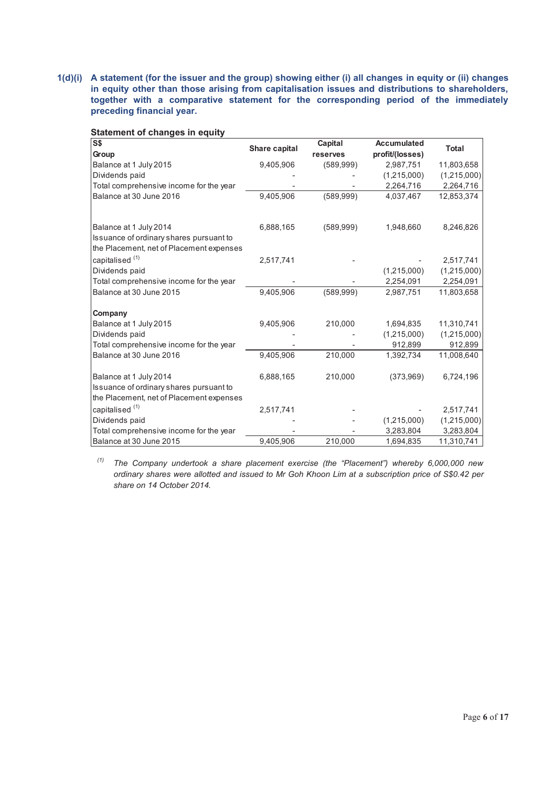**1(d)(i) A statement (for the issuer and the group) showing either (i) all changes in equity or (ii) changes in equity other than those arising from capitalisation issues and distributions to shareholders, together with a comparative statement for the corresponding period of the immediately preceding financial year.** 

**Statement of changes in equity** 

| S <sub>5</sub>                                                                      |               | Capital    | <b>Accumulated</b> | <b>Total</b> |
|-------------------------------------------------------------------------------------|---------------|------------|--------------------|--------------|
| Group                                                                               | Share capital | reserves   | profit/(losses)    |              |
| Balance at 1 July 2015                                                              | 9,405,906     | (589, 999) | 2,987,751          | 11,803,658   |
| Dividends paid                                                                      |               |            | (1,215,000)        | (1,215,000)  |
| Total comprehensive income for the year                                             |               |            | 2,264,716          | 2,264,716    |
| Balance at 30 June 2016                                                             | 9,405,906     | (589, 999) | 4,037,467          | 12,853,374   |
|                                                                                     |               |            |                    |              |
| Balance at 1 July 2014                                                              | 6,888,165     | (589, 999) | 1,948,660          | 8,246,826    |
| Issuance of ordinary shares pursuant to<br>the Placement, net of Placement expenses |               |            |                    |              |
| capitalised <sup>(1)</sup>                                                          | 2,517,741     |            |                    | 2,517,741    |
| Dividends paid                                                                      |               |            | (1,215,000)        | (1,215,000)  |
| Total comprehensive income for the year                                             |               |            | 2,254,091          | 2,254,091    |
| Balance at 30 June 2015                                                             | 9,405,906     | (589, 999) | 2,987,751          | 11,803,658   |
| Company                                                                             |               |            |                    |              |
| Balance at 1 July 2015                                                              | 9,405,906     | 210,000    | 1,694,835          | 11,310,741   |
| Dividends paid                                                                      |               |            | (1,215,000)        | (1,215,000)  |
| Total comprehensive income for the year                                             |               |            | 912,899            | 912,899      |
| Balance at 30 June 2016                                                             | 9,405,906     | 210,000    | 1,392,734          | 11,008,640   |
| Balance at 1 July 2014                                                              | 6,888,165     | 210,000    | (373,969)          | 6,724,196    |
| Issuance of ordinary shares pursuant to                                             |               |            |                    |              |
| the Placement, net of Placement expenses                                            |               |            |                    |              |
| capitalised <sup>(1)</sup>                                                          | 2,517,741     |            |                    | 2,517,741    |
| Dividends paid                                                                      |               |            | (1,215,000)        | (1,215,000)  |
| Total comprehensive income for the year                                             |               |            | 3,283,804          | 3,283,804    |
| Balance at 30 June 2015                                                             | 9,405,906     | 210,000    | 1,694,835          | 11,310,741   |

*(1) The Company undertook a share placement exercise (the "Placement") whereby 6,000,000 new ordinary shares were allotted and issued to Mr Goh Khoon Lim at a subscription price of S\$0.42 per share on 14 October 2014.*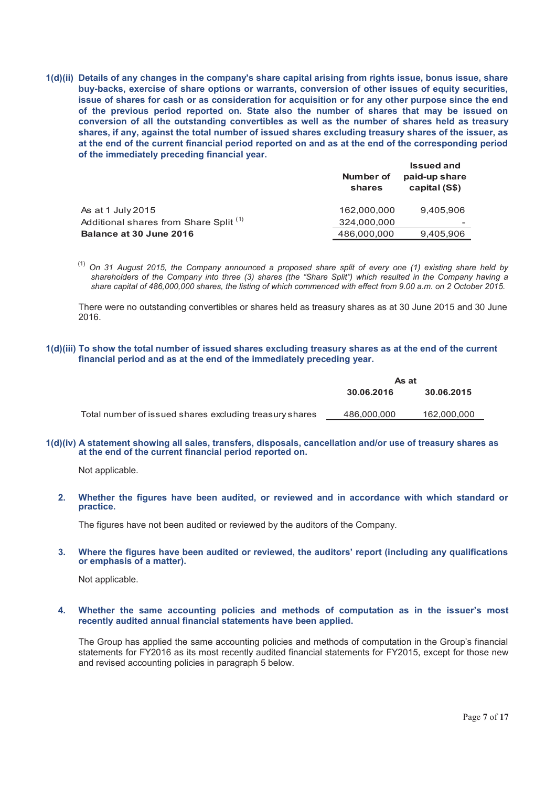**1(d)(ii) Details of any changes in the company's share capital arising from rights issue, bonus issue, share buy-backs, exercise of share options or warrants, conversion of other issues of equity securities, issue of shares for cash or as consideration for acquisition or for any other purpose since the end of the previous period reported on. State also the number of shares that may be issued on conversion of all the outstanding convertibles as well as the number of shares held as treasury shares, if any, against the total number of issued shares excluding treasury shares of the issuer, as at the end of the current financial period reported on and as at the end of the corresponding period of the immediately preceding financial year.**

|                                                   | Number of<br>shares | <b>Issued and</b><br>paid-up share<br>capital (S\$) |
|---------------------------------------------------|---------------------|-----------------------------------------------------|
| As at 1 July 2015                                 | 162.000.000         | 9,405,906                                           |
| Additional shares from Share Split <sup>(1)</sup> | 324,000,000         |                                                     |
| Balance at 30 June 2016                           | 486,000,000         | 9,405,906                                           |

(1) *On 31 August 2015, the Company announced a proposed share split of every one (1) existing share held by shareholders of the Company into three (3) shares (the "Share Split") which resulted in the Company having a share capital of 486,000,000 shares, the listing of which commenced with effect from 9.00 a.m. on 2 October 2015.*

There were no outstanding convertibles or shares held as treasury shares as at 30 June 2015 and 30 June 2016.

#### **1(d)(iii) To show the total number of issued shares excluding treasury shares as at the end of the current financial period and as at the end of the immediately preceding year.**

|                                                         | As at                    |             |  |
|---------------------------------------------------------|--------------------------|-------------|--|
|                                                         | 30.06.2015<br>30.06.2016 |             |  |
|                                                         |                          |             |  |
| Total number of issued shares excluding treasury shares | 486,000,000              | 162,000,000 |  |

#### **1(d)(iv) A statement showing all sales, transfers, disposals, cancellation and/or use of treasury shares as at the end of the current financial period reported on.**

Not applicable.

**2. Whether the figures have been audited, or reviewed and in accordance with which standard or practice.** 

The figures have not been audited or reviewed by the auditors of the Company.

**3. Where the figures have been audited or reviewed, the auditors' report (including any qualifications or emphasis of a matter).** 

Not applicable.

#### **4. Whether the same accounting policies and methods of computation as in the issuer's most recently audited annual financial statements have been applied.**

The Group has applied the same accounting policies and methods of computation in the Group's financial statements for FY2016 as its most recently audited financial statements for FY2015, except for those new and revised accounting policies in paragraph 5 below.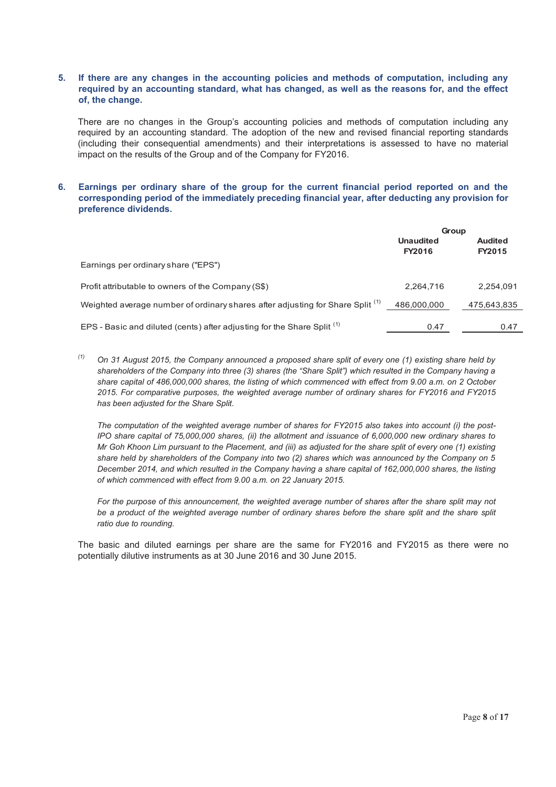## **5. If there are any changes in the accounting policies and methods of computation, including any required by an accounting standard, what has changed, as well as the reasons for, and the effect of, the change.**

There are no changes in the Group's accounting policies and methods of computation including any required by an accounting standard. The adoption of the new and revised financial reporting standards (including their consequential amendments) and their interpretations is assessed to have no material impact on the results of the Group and of the Company for FY2016.

# **6. Earnings per ordinary share of the group for the current financial period reported on and the corresponding period of the immediately preceding financial year, after deducting any provision for preference dividends.**

|                                                                                           | Group                      |                          |  |
|-------------------------------------------------------------------------------------------|----------------------------|--------------------------|--|
|                                                                                           | <b>Unaudited</b><br>FY2016 | <b>Audited</b><br>FY2015 |  |
| Earnings per ordinary share ("EPS")                                                       |                            |                          |  |
| Profit attributable to owners of the Company (S\$)                                        | 2,264,716                  | 2,254,091                |  |
| Weighted average number of ordinary shares after adjusting for Share Split <sup>(1)</sup> | 486,000,000                | 475,643,835              |  |
| EPS - Basic and diluted (cents) after adjusting for the Share Split <sup>(1)</sup>        | 0.47                       | 0.47                     |  |

*(1) On 31 August 2015, the Company announced a proposed share split of every one (1) existing share held by shareholders of the Company into three (3) shares (the "Share Split") which resulted in the Company having a share capital of 486,000,000 shares, the listing of which commenced with effect from 9.00 a.m. on 2 October 2015. For comparative purposes, the weighted average number of ordinary shares for FY2016 and FY2015 has been adjusted for the Share Split.* 

*The computation of the weighted average number of shares for FY2015 also takes into account (i) the post-IPO share capital of 75,000,000 shares, (ii) the allotment and issuance of 6,000,000 new ordinary shares to Mr Goh Khoon Lim pursuant to the Placement, and (iii) as adjusted for the share split of every one (1) existing share held by shareholders of the Company into two (2) shares which was announced by the Company on 5 December 2014, and which resulted in the Company having a share capital of 162,000,000 shares, the listing of which commenced with effect from 9.00 a.m. on 22 January 2015.* 

*For the purpose of this announcement, the weighted average number of shares after the share split may not*  be a product of the weighted average number of ordinary shares before the share split and the share split *ratio due to rounding.* 

The basic and diluted earnings per share are the same for FY2016 and FY2015 as there were no potentially dilutive instruments as at 30 June 2016 and 30 June 2015.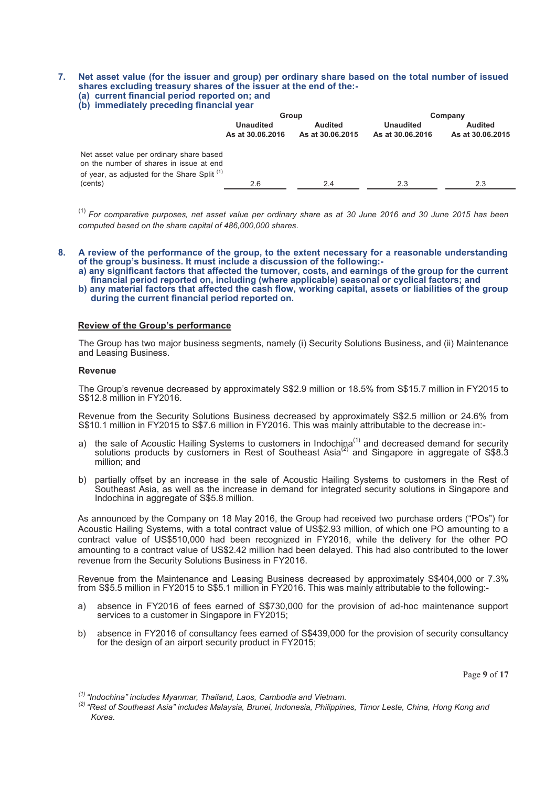#### **7. Net asset value (for the issuer and group) per ordinary share based on the total number of issued shares excluding treasury shares of the issuer at the end of the:- (a) current financial period reported on; and**

# **(b) immediately preceding financial year**

|                                                                                                                                                | Group                                |                                    | Company                              |                                    |
|------------------------------------------------------------------------------------------------------------------------------------------------|--------------------------------------|------------------------------------|--------------------------------------|------------------------------------|
|                                                                                                                                                | <b>Unaudited</b><br>As at 30.06.2016 | <b>Audited</b><br>As at 30.06.2015 | <b>Unaudited</b><br>As at 30.06.2016 | <b>Audited</b><br>As at 30.06.2015 |
| Net asset value per ordinary share based<br>on the number of shares in issue at end<br>of year, as adjusted for the Share Split <sup>(1)</sup> |                                      |                                    |                                      |                                    |
| (cents)                                                                                                                                        | 2.6                                  | 2.4                                | 2.3                                  | 2.3                                |

(1) *For comparative purposes, net asset value per ordinary share as at 30 June 2016 and 30 June 2015 has been computed based on the share capital of 486,000,000 shares.* 

#### **8. A review of the performance of the group, to the extent necessary for a reasonable understanding of the group's business. It must include a discussion of the following:-**

- **a) any significant factors that affected the turnover, costs, and earnings of the group for the current financial period reported on, including (where applicable) seasonal or cyclical factors; and**
- **b) any material factors that affected the cash flow, working capital, assets or liabilities of the group during the current financial period reported on.**

#### **Review of the Group's performance**

The Group has two major business segments, namely (i) Security Solutions Business, and (ii) Maintenance and Leasing Business.

#### **Revenue**

The Group's revenue decreased by approximately S\$2.9 million or 18.5% from S\$15.7 million in FY2015 to S\$12.8 million in FY2016.

Revenue from the Security Solutions Business decreased by approximately S\$2.5 million or 24.6% from S\$10.1 million in FY2015 to S\$7.6 million in FY2016. This was mainly attributable to the decrease in:-

- a) the sale of Acoustic Hailing Systems to customers in Indochina<sup>(1)</sup> and decreased demand for security solutions products by customers in Rest of Southeast Asia<sup>(2)</sup> and Singapore in aggregate of S\$8.3 million; and
- b) partially offset by an increase in the sale of Acoustic Hailing Systems to customers in the Rest of Southeast Asia, as well as the increase in demand for integrated security solutions in Singapore and Indochina in aggregate of S\$5.8 million.

As announced by the Company on 18 May 2016, the Group had received two purchase orders ("POs") for Acoustic Hailing Systems, with a total contract value of US\$2.93 million, of which one PO amounting to a contract value of US\$510,000 had been recognized in FY2016, while the delivery for the other PO amounting to a contract value of US\$2.42 million had been delayed. This had also contributed to the lower revenue from the Security Solutions Business in FY2016.

Revenue from the Maintenance and Leasing Business decreased by approximately S\$404,000 or 7.3% from S\$5.5 million in FY2015 to S\$5.1 million in FY2016. This was mainly attributable to the following:-

- a) absence in FY2016 of fees earned of S\$730,000 for the provision of ad-hoc maintenance support services to a customer in Singapore in FY2015;
- b) absence in FY2016 of consultancy fees earned of S\$439,000 for the provision of security consultancy for the design of an airport security product in FY2015;

Page **9** of **17**

*(1) "Indochina" includes Myanmar, Thailand, Laos, Cambodia and Vietnam.*

*(2) "Rest of Southeast Asia" includes Malaysia, Brunei, Indonesia, Philippines, Timor Leste, China, Hong Kong and Korea.*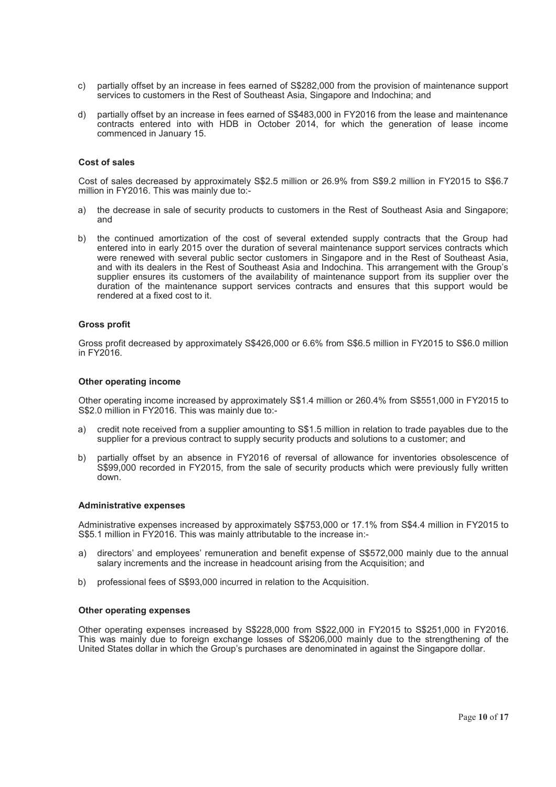- c) partially offset by an increase in fees earned of S\$282,000 from the provision of maintenance support services to customers in the Rest of Southeast Asia, Singapore and Indochina; and
- d) partially offset by an increase in fees earned of S\$483,000 in FY2016 from the lease and maintenance contracts entered into with HDB in October 2014, for which the generation of lease income commenced in January 15.

#### **Cost of sales**

Cost of sales decreased by approximately S\$2.5 million or 26.9% from S\$9.2 million in FY2015 to S\$6.7 million in FY2016. This was mainly due to:-

- a) the decrease in sale of security products to customers in the Rest of Southeast Asia and Singapore; and
- b) the continued amortization of the cost of several extended supply contracts that the Group had entered into in early 2015 over the duration of several maintenance support services contracts which were renewed with several public sector customers in Singapore and in the Rest of Southeast Asia, and with its dealers in the Rest of Southeast Asia and Indochina. This arrangement with the Group's supplier ensures its customers of the availability of maintenance support from its supplier over the duration of the maintenance support services contracts and ensures that this support would be rendered at a fixed cost to it.

#### **Gross profit**

Gross profit decreased by approximately S\$426,000 or 6.6% from S\$6.5 million in FY2015 to S\$6.0 million in FY2016.

#### **Other operating income**

Other operating income increased by approximately S\$1.4 million or 260.4% from S\$551,000 in FY2015 to S\$2.0 million in FY2016. This was mainly due to:-

- a) credit note received from a supplier amounting to S\$1.5 million in relation to trade payables due to the supplier for a previous contract to supply security products and solutions to a customer; and
- b) partially offset by an absence in FY2016 of reversal of allowance for inventories obsolescence of S\$99,000 recorded in FY2015, from the sale of security products which were previously fully written down.

#### **Administrative expenses**

Administrative expenses increased by approximately S\$753,000 or 17.1% from S\$4.4 million in FY2015 to S\$5.1 million in FY2016. This was mainly attributable to the increase in:-

- a) directors' and employees' remuneration and benefit expense of S\$572,000 mainly due to the annual salary increments and the increase in headcount arising from the Acquisition; and
- b) professional fees of S\$93,000 incurred in relation to the Acquisition.

#### **Other operating expenses**

Other operating expenses increased by S\$228,000 from S\$22,000 in FY2015 to S\$251,000 in FY2016. This was mainly due to foreign exchange losses of S\$206,000 mainly due to the strengthening of the United States dollar in which the Group's purchases are denominated in against the Singapore dollar.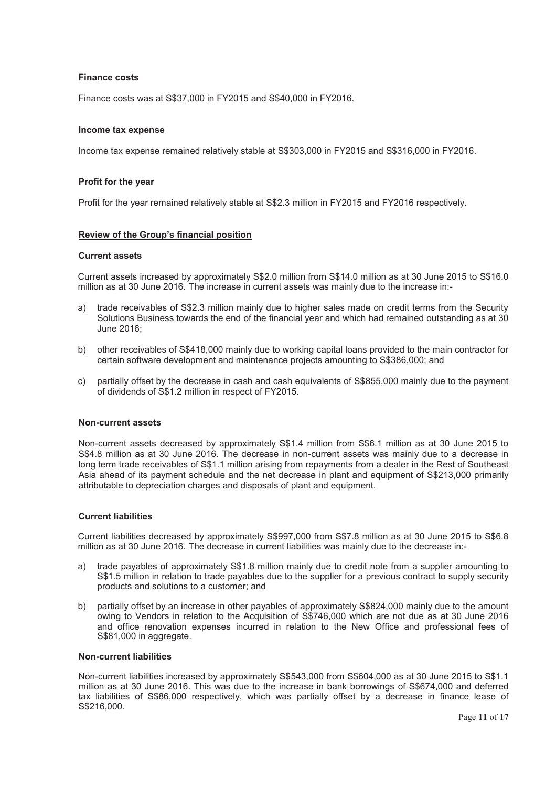# **Finance costs**

Finance costs was at S\$37,000 in FY2015 and S\$40,000 in FY2016.

#### **Income tax expense**

Income tax expense remained relatively stable at S\$303,000 in FY2015 and S\$316,000 in FY2016.

#### **Profit for the year**

Profit for the year remained relatively stable at S\$2.3 million in FY2015 and FY2016 respectively.

#### **Review of the Group's financial position**

#### **Current assets**

Current assets increased by approximately S\$2.0 million from S\$14.0 million as at 30 June 2015 to S\$16.0 million as at 30 June 2016. The increase in current assets was mainly due to the increase in:-

- a) trade receivables of S\$2.3 million mainly due to higher sales made on credit terms from the Security Solutions Business towards the end of the financial year and which had remained outstanding as at 30 June 2016;
- b) other receivables of S\$418,000 mainly due to working capital loans provided to the main contractor for certain software development and maintenance projects amounting to S\$386,000; and
- c) partially offset by the decrease in cash and cash equivalents of S\$855,000 mainly due to the payment of dividends of S\$1.2 million in respect of FY2015.

#### **Non-current assets**

Non-current assets decreased by approximately S\$1.4 million from S\$6.1 million as at 30 June 2015 to S\$4.8 million as at 30 June 2016. The decrease in non-current assets was mainly due to a decrease in long term trade receivables of S\$1.1 million arising from repayments from a dealer in the Rest of Southeast Asia ahead of its payment schedule and the net decrease in plant and equipment of S\$213,000 primarily attributable to depreciation charges and disposals of plant and equipment.

#### **Current liabilities**

Current liabilities decreased by approximately S\$997,000 from S\$7.8 million as at 30 June 2015 to S\$6.8 million as at 30 June 2016. The decrease in current liabilities was mainly due to the decrease in:-

- a) trade payables of approximately S\$1.8 million mainly due to credit note from a supplier amounting to S\$1.5 million in relation to trade payables due to the supplier for a previous contract to supply security products and solutions to a customer; and
- b) partially offset by an increase in other payables of approximately S\$824,000 mainly due to the amount owing to Vendors in relation to the Acquisition of S\$746,000 which are not due as at 30 June 2016 and office renovation expenses incurred in relation to the New Office and professional fees of S\$81,000 in aggregate.

#### **Non-current liabilities**

Non-current liabilities increased by approximately S\$543,000 from S\$604,000 as at 30 June 2015 to S\$1.1 million as at 30 June 2016. This was due to the increase in bank borrowings of S\$674,000 and deferred tax liabilities of S\$86,000 respectively, which was partially offset by a decrease in finance lease of S\$216,000.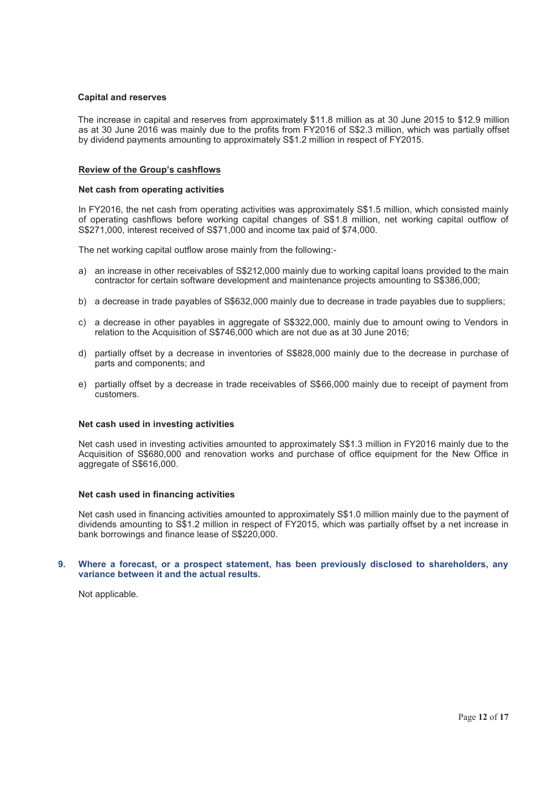#### **Capital and reserves**

The increase in capital and reserves from approximately \$11.8 million as at 30 June 2015 to \$12.9 million as at 30 June 2016 was mainly due to the profits from FY2016 of S\$2.3 million, which was partially offset by dividend payments amounting to approximately S\$1.2 million in respect of FY2015.

#### **Review of the Group's cashflows**

#### **Net cash from operating activities**

 In FY2016, the net cash from operating activities was approximately S\$1.5 million, which consisted mainly of operating cashflows before working capital changes of S\$1.8 million, net working capital outflow of S\$271,000, interest received of S\$71,000 and income tax paid of \$74,000.

The net working capital outflow arose mainly from the following:-

- a) an increase in other receivables of S\$212,000 mainly due to working capital loans provided to the main contractor for certain software development and maintenance projects amounting to S\$386,000;
- b) a decrease in trade payables of S\$632,000 mainly due to decrease in trade payables due to suppliers;
- c) a decrease in other payables in aggregate of S\$322,000, mainly due to amount owing to Vendors in relation to the Acquisition of S\$746,000 which are not due as at 30 June 2016;
- d) partially offset by a decrease in inventories of S\$828,000 mainly due to the decrease in purchase of parts and components; and
- e) partially offset by a decrease in trade receivables of S\$66,000 mainly due to receipt of payment from customers.

#### **Net cash used in investing activities**

Net cash used in investing activities amounted to approximately S\$1.3 million in FY2016 mainly due to the Acquisition of S\$680,000 and renovation works and purchase of office equipment for the New Office in aggregate of S\$616,000.

#### **Net cash used in financing activities**

Net cash used in financing activities amounted to approximately S\$1.0 million mainly due to the payment of dividends amounting to S\$1.2 million in respect of FY2015, which was partially offset by a net increase in bank borrowings and finance lease of S\$220,000.

#### **9. Where a forecast, or a prospect statement, has been previously disclosed to shareholders, any variance between it and the actual results.**

Not applicable.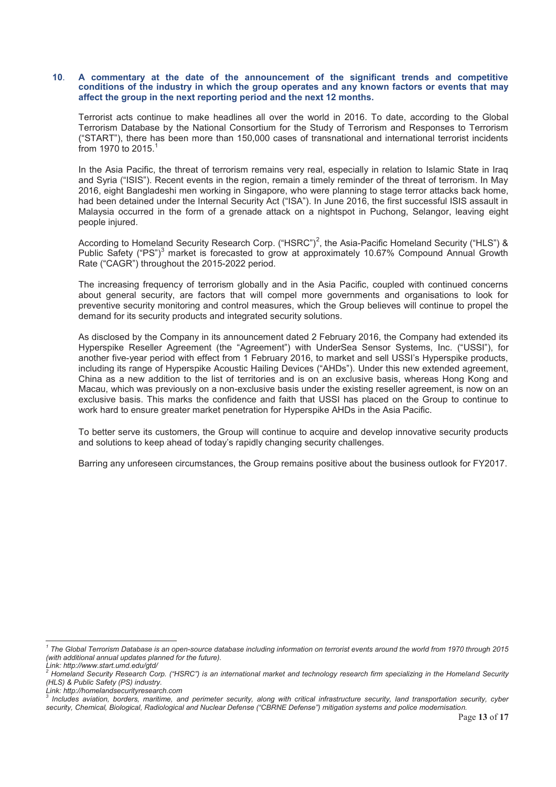#### **10**. **A commentary at the date of the announcement of the significant trends and competitive conditions of the industry in which the group operates and any known factors or events that may affect the group in the next reporting period and the next 12 months.**

Terrorist acts continue to make headlines all over the world in 2016. To date, according to the Global Terrorism Database by the National Consortium for the Study of Terrorism and Responses to Terrorism ("START"), there has been more than 150,000 cases of transnational and international terrorist incidents from 1970 to 2015.<sup>1</sup>

In the Asia Pacific, the threat of terrorism remains very real, especially in relation to Islamic State in Iraq and Syria ("ISIS"). Recent events in the region, remain a timely reminder of the threat of terrorism. In May 2016, eight Bangladeshi men working in Singapore, who were planning to stage terror attacks back home, had been detained under the Internal Security Act ("ISA"). In June 2016, the first successful ISIS assault in Malaysia occurred in the form of a grenade attack on a nightspot in Puchong, Selangor, leaving eight people injured.

According to Homeland Security Research Corp. ("HSRC")<sup>2</sup>, the Asia-Pacific Homeland Security ("HLS") & Public Safety ("PS")<sup>3</sup> market is forecasted to grow at approximately 10.67% Compound Annual Growth Rate ("CAGR") throughout the 2015-2022 period.

The increasing frequency of terrorism globally and in the Asia Pacific, coupled with continued concerns about general security, are factors that will compel more governments and organisations to look for preventive security monitoring and control measures, which the Group believes will continue to propel the demand for its security products and integrated security solutions.

As disclosed by the Company in its announcement dated 2 February 2016, the Company had extended its Hyperspike Reseller Agreement (the "Agreement") with UnderSea Sensor Systems, Inc. ("USSI"), for another five-year period with effect from 1 February 2016, to market and sell USSI's Hyperspike products, including its range of Hyperspike Acoustic Hailing Devices ("AHDs"). Under this new extended agreement, China as a new addition to the list of territories and is on an exclusive basis, whereas Hong Kong and Macau, which was previously on a non-exclusive basis under the existing reseller agreement, is now on an exclusive basis. This marks the confidence and faith that USSI has placed on the Group to continue to work hard to ensure greater market penetration for Hyperspike AHDs in the Asia Pacific.

To better serve its customers, the Group will continue to acquire and develop innovative security products and solutions to keep ahead of today's rapidly changing security challenges.

Barring any unforeseen circumstances, the Group remains positive about the business outlook for FY2017.

 $\overline{a}$ 

*<sup>1</sup> The Global Terrorism Database is an open-source database including information on terrorist events around the world from 1970 through 2015 (with additional annual updates planned for the future).* 

*Link: http://www.start.umd.edu/gtd/* 

*<sup>2</sup> Homeland Security Research Corp. ("HSRC") is an international market and technology research firm specializing in the Homeland Security (HLS) & Public Safety (PS) industry.* 

*Link: http://homelandsecurityresearch.com* 

*<sup>3</sup> Includes aviation, borders, maritime, and perimeter security, along with critical infrastructure security, land transportation security, cyber security, Chemical, Biological, Radiological and Nuclear Defense ("CBRNE Defense") mitigation systems and police modernisation.*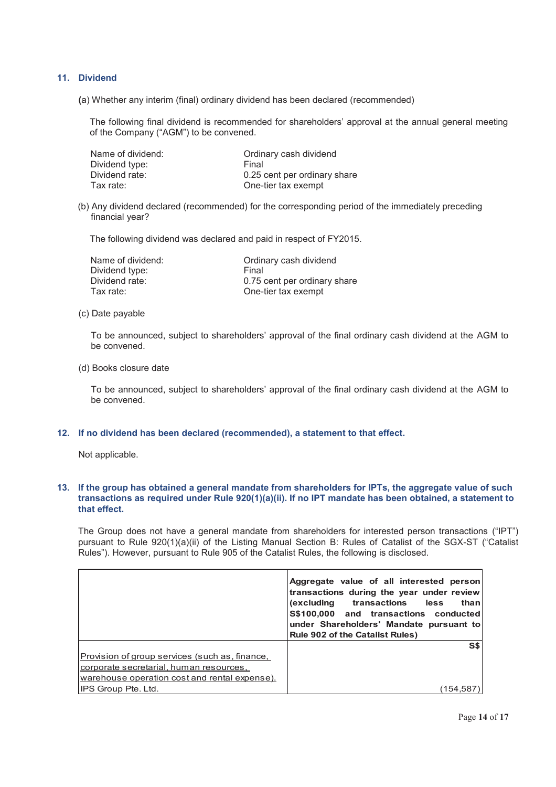# **11. Dividend**

**(**a) Whether any interim (final) ordinary dividend has been declared (recommended)

The following final dividend is recommended for shareholders' approval at the annual general meeting of the Company ("AGM") to be convened.

| Name of dividend: | Ordinary cash dividend       |
|-------------------|------------------------------|
| Dividend type:    | Final                        |
| Dividend rate:    | 0.25 cent per ordinary share |
| Tax rate:         | One-tier tax exempt          |

(b) Any dividend declared (recommended) for the corresponding period of the immediately preceding financial year?

The following dividend was declared and paid in respect of FY2015.

| Name of dividend: | Ordinary cash dividend       |
|-------------------|------------------------------|
| Dividend type:    | Final                        |
| Dividend rate:    | 0.75 cent per ordinary share |
| Tax rate:         | One-tier tax exempt          |

(c) Date payable

To be announced, subject to shareholders' approval of the final ordinary cash dividend at the AGM to be convened.

#### (d) Books closure date

To be announced, subject to shareholders' approval of the final ordinary cash dividend at the AGM to be convened.

## **12. If no dividend has been declared (recommended), a statement to that effect.**

Not applicable.

## **13. If the group has obtained a general mandate from shareholders for IPTs, the aggregate value of such transactions as required under Rule 920(1)(a)(ii). If no IPT mandate has been obtained, a statement to that effect.**

The Group does not have a general mandate from shareholders for interested person transactions ("IPT") pursuant to Rule 920(1)(a)(ii) of the Listing Manual Section B: Rules of Catalist of the SGX-ST ("Catalist Rules"). However, pursuant to Rule 905 of the Catalist Rules, the following is disclosed.

|                                                | Aggregate value of all interested person<br>transactions during the year under review<br>(excluding transactions<br>less<br>than<br>S\$100,000 and transactions conducted<br>under Shareholders' Mandate pursuant to<br><b>Rule 902 of the Catalist Rules)</b> |
|------------------------------------------------|----------------------------------------------------------------------------------------------------------------------------------------------------------------------------------------------------------------------------------------------------------------|
|                                                | S\$                                                                                                                                                                                                                                                            |
| Provision of group services (such as, finance, |                                                                                                                                                                                                                                                                |
| corporate secretarial, human resources,        |                                                                                                                                                                                                                                                                |
| warehouse operation cost and rental expense).  |                                                                                                                                                                                                                                                                |
| <b>IPS Group Pte. Ltd.</b>                     | 154.58                                                                                                                                                                                                                                                         |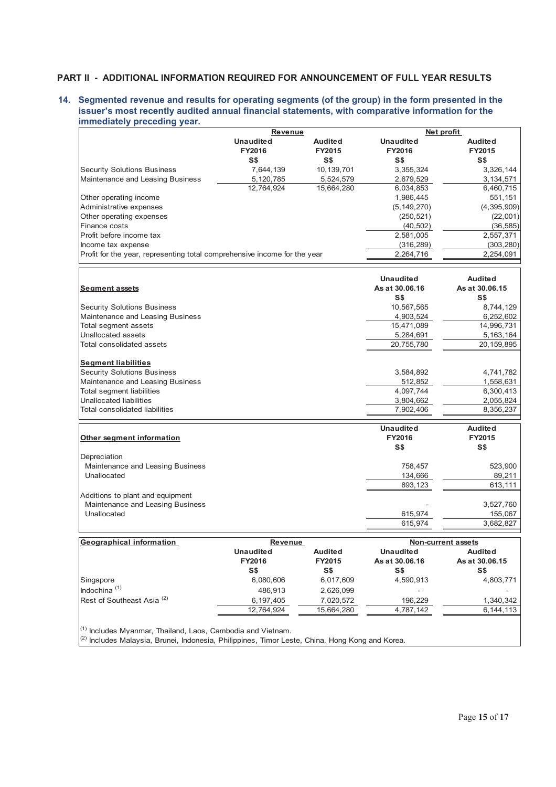# **PART II - ADDITIONAL INFORMATION REQUIRED FOR ANNOUNCEMENT OF FULL YEAR RESULTS**

## **14. Segmented revenue and results for operating segments (of the group) in the form presented in the issuer's most recently audited annual financial statements, with comparative information for the immediately preceding year.**

|                                                                           | Revenue          |                |                                  | Net profit            |
|---------------------------------------------------------------------------|------------------|----------------|----------------------------------|-----------------------|
|                                                                           | <b>Unaudited</b> | <b>Audited</b> | <b>Unaudited</b>                 | <b>Audited</b>        |
|                                                                           | FY2016           | FY2015         | FY2016                           | FY2015                |
|                                                                           | S\$              | S\$            | S <sub>5</sub>                   | S\$                   |
| <b>Security Solutions Business</b>                                        | 7,644,139        | 10,139,701     | 3,355,324                        | 3,326,144             |
| Maintenance and Leasing Business                                          | 5,120,785        | 5,524,579      | 2,679,529                        | 3, 134, 571           |
|                                                                           | 12,764,924       | 15,664,280     | 6,034,853                        | 6,460,715             |
| Other operating income                                                    |                  |                | 1,986,445                        | 551,151               |
| Administrative expenses                                                   |                  |                | (5, 149, 270)                    | (4, 395, 909)         |
| Other operating expenses                                                  |                  |                | (250, 521)                       | (22,001)              |
| Finance costs                                                             |                  |                | (40, 502)                        | (36, 585)             |
| Profit before income tax                                                  |                  |                | 2,581,005                        | 2,557,371             |
| Income tax expense                                                        |                  |                | (316, 289)                       | (303, 280)            |
| Profit for the year, representing total comprehensive income for the year |                  |                | 2,264,716                        | 2,254,091             |
|                                                                           |                  |                |                                  |                       |
|                                                                           |                  |                | <b>Unaudited</b>                 | <b>Audited</b>        |
| <b>Segment assets</b>                                                     |                  |                | As at 30.06.16<br>S <sub>5</sub> | As at 30.06.15<br>S\$ |
| <b>Security Solutions Business</b>                                        |                  |                | 10,567,565                       | 8,744,129             |
| Maintenance and Leasing Business                                          |                  |                | 4,903,524                        | 6,252,602             |
| Total segment assets                                                      |                  |                | 15,471,089                       | 14,996,731            |
| Unallocated assets                                                        |                  |                | 5,284,691                        | 5, 163, 164           |
| Total consolidated assets                                                 |                  |                | 20,755,780                       | 20, 159, 895          |
| <b>Segment liabilities</b>                                                |                  |                |                                  |                       |
| <b>Security Solutions Business</b>                                        |                  |                | 3,584,892                        | 4,741,782             |
| Maintenance and Leasing Business                                          |                  |                | 512,852                          | 1,558,631             |
| <b>Total segment liabilities</b>                                          |                  |                | 4,097,744                        | 6,300,413             |
| <b>Unallocated liabilities</b>                                            |                  |                | 3,804,662                        | 2,055,824             |
| Total consolidated liabilities                                            |                  |                | 7,902,406                        | 8,356,237             |
|                                                                           |                  |                | <b>Unaudited</b>                 | <b>Audited</b>        |
| Other segment information                                                 |                  |                | FY2016                           | FY2015                |
|                                                                           |                  |                | S\$                              | S\$                   |
| Depreciation                                                              |                  |                |                                  |                       |
| Maintenance and Leasing Business                                          |                  |                | 758,457                          | 523,900               |
| Unallocated                                                               |                  |                | 134,666                          | 89,211                |
|                                                                           |                  |                | 893,123                          | 613,111               |
| Additions to plant and equipment                                          |                  |                |                                  |                       |
| Maintenance and Leasing Business                                          |                  |                |                                  | 3,527,760             |
| Unallocated                                                               |                  |                | 615,974                          | 155,067               |
|                                                                           |                  |                | 615,974                          | 3,682,827             |
| <b>Geographical information</b>                                           | <b>Revenue</b>   |                |                                  | Non-current assets    |
|                                                                           | <b>Unaudited</b> | <b>Audited</b> | <b>Unaudited</b>                 | <b>Audited</b>        |
|                                                                           | FY2016           | FY2015         | As at 30.06.16                   | As at 30.06.15        |
|                                                                           | S\$              | S <sub>5</sub> | S\$                              | S\$                   |
| Singapore                                                                 | 6,080,606        | 6,017,609      | 4,590,913                        | 4,803,771             |
| Indochina <sup>(1)</sup>                                                  | 486,913          | 2,626,099      |                                  |                       |
| Rest of Southeast Asia <sup>(2)</sup>                                     | 6,197,405        | 7,020,572      | 196,229                          | 1,340,342             |
|                                                                           | 12,764,924       | 15,664,280     | 4,787,142                        | 6, 144, 113           |
| <sup>(1)</sup> Includes Myanmar, Thailand, Laos, Cambodia and Vietnam.    |                  |                |                                  |                       |

 $(2)$  Includes Malaysia, Brunei, Indonesia, Philippines, Timor Leste, China, Hong Kong and Korea.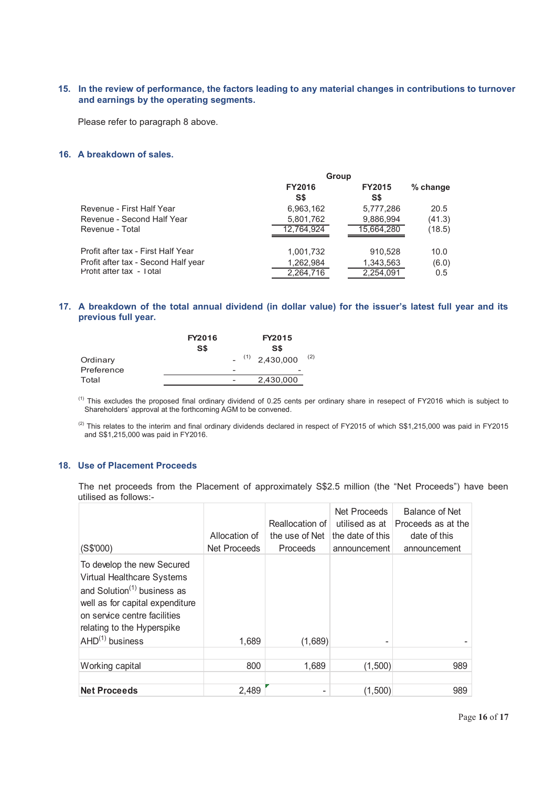# **15. In the review of performance, the factors leading to any material changes in contributions to turnover and earnings by the operating segments.**

Please refer to paragraph 8 above.

#### **16. A breakdown of sales.**

|                                     | Group                |                      |            |
|-------------------------------------|----------------------|----------------------|------------|
|                                     | <b>FY2016</b><br>S\$ | <b>FY2015</b><br>S\$ | $%$ change |
| Revenue - First Half Year           | 6,963,162            | 5,777,286            | 20.5       |
| Revenue - Second Half Year          | 5,801,762            | 9,886,994            | (41.3)     |
| Revenue - Total                     | 12.764.924           | 15,664,280           | (18.5)     |
| Profit after tax - First Half Year  | 1,001,732            | 910,528              | 10.0       |
| Profit after tax - Second Half year | 1,262,984            | 1,343,563            | (6.0)      |
| Profit after tax - Total            | 2,264,716            | 2,254,091            | 0.5        |
|                                     |                      |                      |            |

# **17. A breakdown of the total annual dividend (in dollar value) for the issuer's latest full year and its previous full year.**

|            | <b>FY2016</b><br>S\$ | FY2015<br>S\$                       |  |
|------------|----------------------|-------------------------------------|--|
|            |                      |                                     |  |
| Ordinary   |                      | (2)<br>$-$ <sup>(1)</sup> 2,430,000 |  |
| Preference |                      |                                     |  |
| Total      |                      | 2,430,000                           |  |
|            |                      |                                     |  |

(1) This excludes the proposed final ordinary dividend of 0.25 cents per ordinary share in resepect of FY2016 which is subject to Shareholders' approval at the forthcoming AGM to be convened.

 $(2)$  This relates to the interim and final ordinary dividends declared in respect of FY2015 of which S\$1,215,000 was paid in FY2015 and S\$1,215,000 was paid in FY2016.

# **18. Use of Placement Proceeds**

The net proceeds from the Placement of approximately S\$2.5 million (the "Net Proceeds") have been utilised as follows:-

|                                                                                                                                                                                                                     |               | Reallocation of | <b>Net Proceeds</b><br>utilised as at | Balance of Net<br>Proceeds as at the |
|---------------------------------------------------------------------------------------------------------------------------------------------------------------------------------------------------------------------|---------------|-----------------|---------------------------------------|--------------------------------------|
|                                                                                                                                                                                                                     | Allocation of | the use of Net  | the date of this                      | date of this                         |
| (S\$'000)                                                                                                                                                                                                           | Net Proceeds  | <b>Proceeds</b> | announcement                          | announcement                         |
| To develop the new Secured<br>Virtual Healthcare Systems<br>and Solution $(1)$ business as<br>well as for capital expenditure<br>on service centre facilities<br>relating to the Hyperspike<br>$AHD^{(1)}$ business | 1,689         | (1,689)         |                                       |                                      |
| Working capital                                                                                                                                                                                                     | 800           | 1,689           | (1,500)                               | 989                                  |
|                                                                                                                                                                                                                     |               |                 |                                       |                                      |
| <b>Net Proceeds</b>                                                                                                                                                                                                 | 2,489         | $\overline{a}$  | (1,500)                               | 989                                  |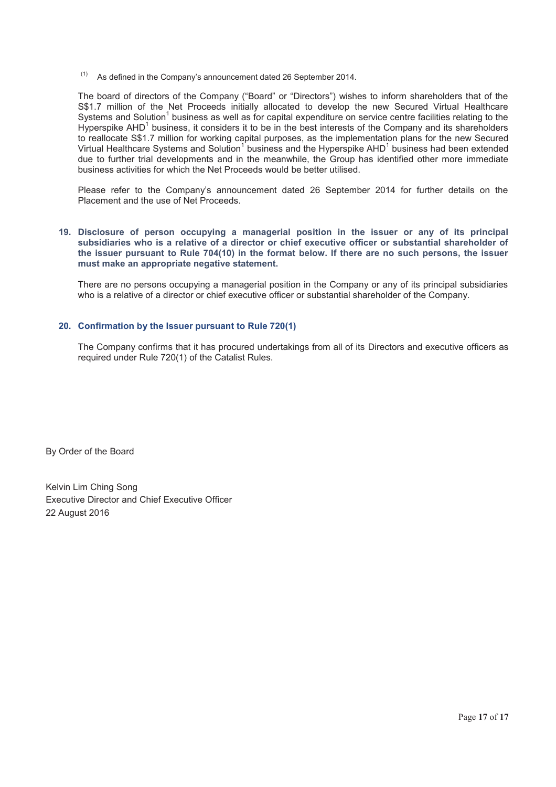$(1)$  As defined in the Company's announcement dated 26 September 2014.

The board of directors of the Company ("Board" or "Directors") wishes to inform shareholders that of the S\$1.7 million of the Net Proceeds initially allocated to develop the new Secured Virtual Healthcare Systems and Solution<sup>1</sup> business as well as for capital expenditure on service centre facilities relating to the Hyperspike  $AHD<sup>1</sup>$  business, it considers it to be in the best interests of the Company and its shareholders to reallocate S\$1.7 million for working capital purposes, as the implementation plans for the new Secured Virtual Healthcare Systems and Solution<sup>1</sup> business and the Hyperspike AHD<sup>1</sup> business had been extended due to further trial developments and in the meanwhile, the Group has identified other more immediate business activities for which the Net Proceeds would be better utilised.

Please refer to the Company's announcement dated 26 September 2014 for further details on the Placement and the use of Net Proceeds.

#### **19. Disclosure of person occupying a managerial position in the issuer or any of its principal subsidiaries who is a relative of a director or chief executive officer or substantial shareholder of the issuer pursuant to Rule 704(10) in the format below. If there are no such persons, the issuer must make an appropriate negative statement.**

There are no persons occupying a managerial position in the Company or any of its principal subsidiaries who is a relative of a director or chief executive officer or substantial shareholder of the Company.

## **20. Confirmation by the Issuer pursuant to Rule 720(1)**

The Company confirms that it has procured undertakings from all of its Directors and executive officers as required under Rule 720(1) of the Catalist Rules.

By Order of the Board

Kelvin Lim Ching Song Executive Director and Chief Executive Officer 22 August 2016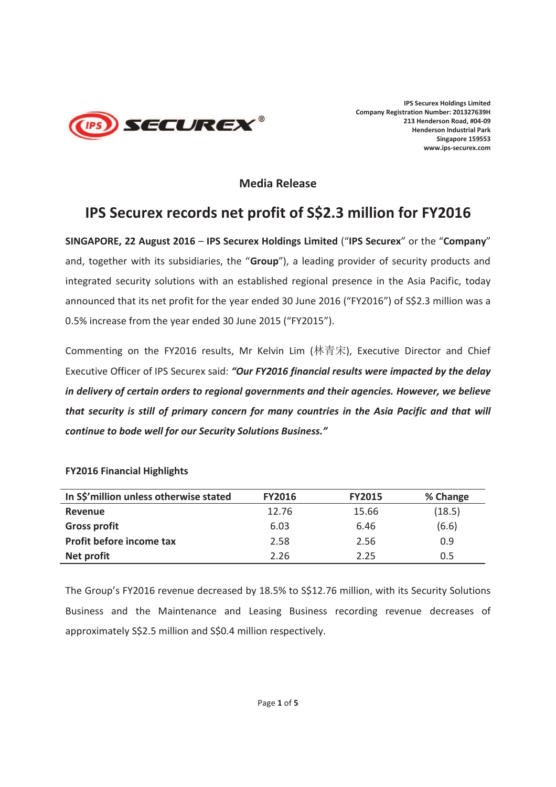

# **Media Release**

# **IPS Securex records net profit of S\$2.3 million for FY2016**

**SINGAPORE, 22 August 2016** – **IPS Securex Holdings Limited** ("**IPS Securex**" or the "**Company**" and, together with its subsidiaries, the "**Group**"), a leading provider of security products and integrated security solutions with an established regional presence in the Asia Pacific, today announced that its net profit for the year ended 30 June 2016 ("FY2016") of S\$2.3 million was a 0.5% increase from the year ended 30 June 2015 ("FY2015").

Commenting on the FY2016 results, Mr Kelvin Lim (林青宋), Executive Director and Chief Executive Officer of IPS Securex said: *"Our FY2016 financial results were impacted by the delay in delivery of certain orders to regional governments and their agencies. However, we believe that security is still of primary concern for many countries in the Asia Pacific and that will continue to bode well for our Security Solutions Business."*

# **FY2016 Financial Highlights**

| In S\$'million unless otherwise stated | <b>FY2016</b> | <b>FY2015</b> | % Change |
|----------------------------------------|---------------|---------------|----------|
| Revenue                                | 12.76         | 15.66         | (18.5)   |
| <b>Gross profit</b>                    | 6.03          | 6.46          | (6.6)    |
| Profit before income tax               | 2.58          | 2.56          | 0.9      |
| Net profit                             | 2.26          | 2.25          | 0.5      |

The Group's FY2016 revenue decreased by 18.5% to S\$12.76 million, with its Security Solutions Business and the Maintenance and Leasing Business recording revenue decreases of approximately S\$2.5 million and S\$0.4 million respectively.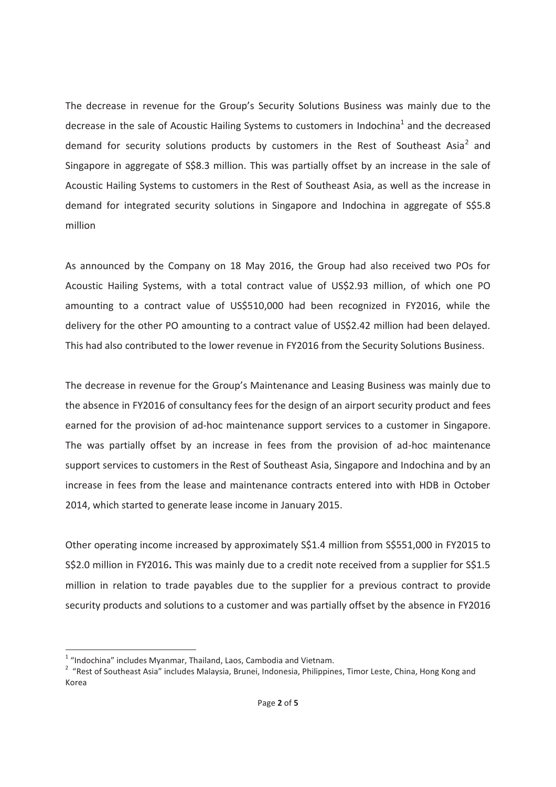The decrease in revenue for the Group's Security Solutions Business was mainly due to the decrease in the sale of Acoustic Hailing Systems to customers in Indochina<sup>1</sup> and the decreased demand for security solutions products by customers in the Rest of Southeast Asia<sup>2</sup> and Singapore in aggregate of S\$8.3 million. This was partially offset by an increase in the sale of Acoustic Hailing Systems to customers in the Rest of Southeast Asia, as well as the increase in demand for integrated security solutions in Singapore and Indochina in aggregate of S\$5.8 million

As announced by the Company on 18 May 2016, the Group had also received two POs for Acoustic Hailing Systems, with a total contract value of US\$2.93 million, of which one PO amounting to a contract value of US\$510,000 had been recognized in FY2016, while the delivery for the other PO amounting to a contract value of US\$2.42 million had been delayed. This had also contributed to the lower revenue in FY2016 from the Security Solutions Business.

The decrease in revenue for the Group's Maintenance and Leasing Business was mainly due to the absence in FY2016 of consultancy fees for the design of an airport security product and fees earned for the provision of ad-hoc maintenance support services to a customer in Singapore. The was partially offset by an increase in fees from the provision of ad-hoc maintenance support services to customers in the Rest of Southeast Asia, Singapore and Indochina and by an increase in fees from the lease and maintenance contracts entered into with HDB in October 2014, which started to generate lease income in January 2015.

Other operating income increased by approximately S\$1.4 million from S\$551,000 in FY2015 to S\$2.0 million in FY2016**.** This was mainly due to a credit note received from a supplier for S\$1.5 million in relation to trade payables due to the supplier for a previous contract to provide security products and solutions to a customer and was partially offset by the absence in FY2016

 $\overline{a}$ 

 $1$  "Indochina" includes Myanmar, Thailand, Laos, Cambodia and Vietnam.

<sup>&</sup>lt;sup>2</sup> "Rest of Southeast Asia" includes Malaysia, Brunei, Indonesia, Philippines, Timor Leste, China, Hong Kong and Korea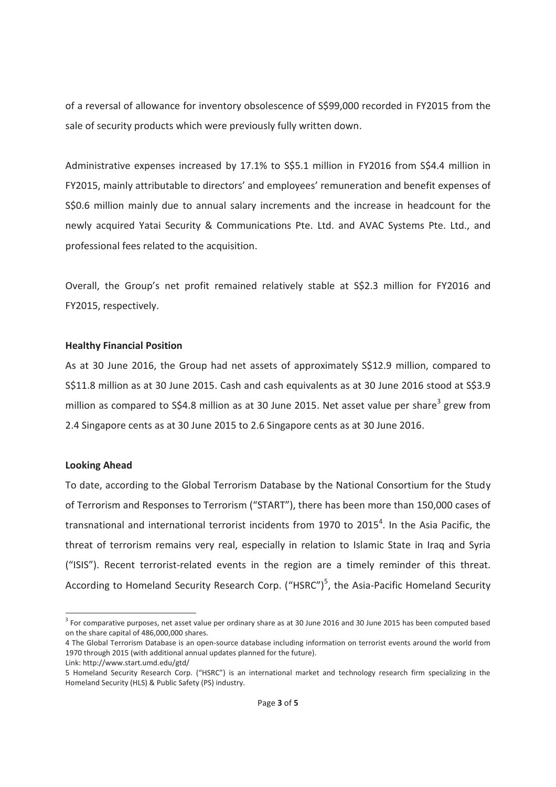of a reversal of allowance for inventory obsolescence of S\$99,000 recorded in FY2015 from the sale of security products which were previously fully written down.

Administrative expenses increased by 17.1% to S\$5.1 million in FY2016 from S\$4.4 million in FY2015, mainly attributable to directors' and employees' remuneration and benefit expenses of S\$0.6 million mainly due to annual salary increments and the increase in headcount for the newly acquired Yatai Security & Communications Pte. Ltd. and AVAC Systems Pte. Ltd., and professional fees related to the acquisition.

Overall, the Group's net profit remained relatively stable at S\$2.3 million for FY2016 and FY2015, respectively.

# **Healthy Financial Position**

As at 30 June 2016, the Group had net assets of approximately S\$12.9 million, compared to S\$11.8 million as at 30 June 2015. Cash and cash equivalents as at 30 June 2016 stood at S\$3.9 million as compared to S\$4.8 million as at 30 June 2015. Net asset value per share<sup>3</sup> grew from 2.4 Singapore cents as at 30 June 2015 to 2.6 Singapore cents as at 30 June 2016.

# **Looking Ahead**

 $\overline{a}$ 

To date, according to the Global Terrorism Database by the National Consortium for the Study of Terrorism and Responses to Terrorism ("START"), there has been more than 150,000 cases of transnational and international terrorist incidents from 1970 to 2015<sup>4</sup>. In the Asia Pacific, the threat of terrorism remains very real, especially in relation to Islamic State in Iraq and Syria ("ISIS"). Recent terrorist-related events in the region are a timely reminder of this threat. According to Homeland Security Research Corp. ("HSRC")<sup>5</sup>, the Asia-Pacific Homeland Security

Link: http://www.start.umd.edu/gtd/

 $3$  For comparative purposes, net asset value per ordinary share as at 30 June 2016 and 30 June 2015 has been computed based on the share capital of 486,000,000 shares.

<sup>4</sup> The Global Terrorism Database is an open-source database including information on terrorist events around the world from 1970 through 2015 (with additional annual updates planned for the future).

<sup>5</sup> Homeland Security Research Corp. ("HSRC") is an international market and technology research firm specializing in the Homeland Security (HLS) & Public Safety (PS) industry.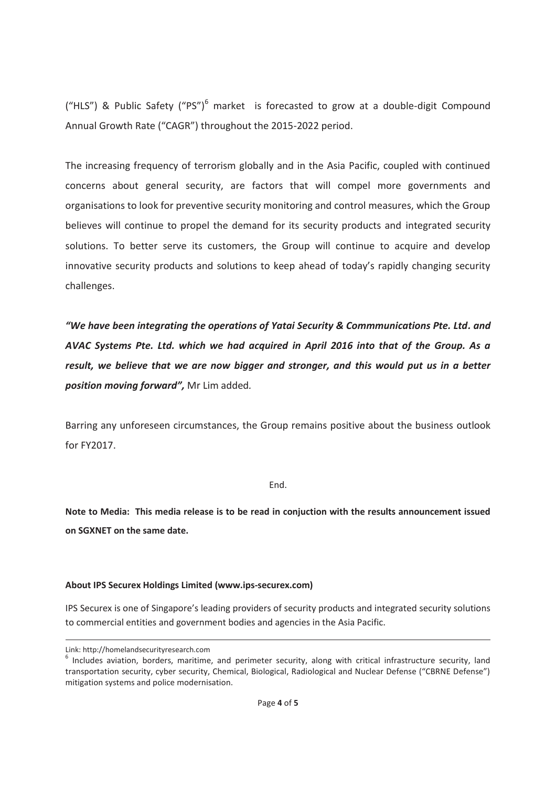("HLS") & Public Safety ("PS")<sup>6</sup> market is forecasted to grow at a double-digit Compound Annual Growth Rate ("CAGR") throughout the 2015-2022 period.

The increasing frequency of terrorism globally and in the Asia Pacific, coupled with continued concerns about general security, are factors that will compel more governments and organisations to look for preventive security monitoring and control measures, which the Group believes will continue to propel the demand for its security products and integrated security solutions. To better serve its customers, the Group will continue to acquire and develop innovative security products and solutions to keep ahead of today's rapidly changing security challenges.

*"We have been integrating the operations of Yatai Security & Commmunications Pte. Ltd. and AVAC Systems Pte. Ltd. which we had acquired in April 2016 into that of the Group. As a result, we believe that we are now bigger and stronger, and this would put us in a better position moving forward",* Mr Lim added*.*

Barring any unforeseen circumstances, the Group remains positive about the business outlook for FY2017.

# End.

**Note to Media: This media release is to be read in conjuction with the results announcement issued on SGXNET on the same date.** 

# **About IPS Securex Holdings Limited (www.ips-securex.com)**

IPS Securex is one of Singapore's leading providers of security products and integrated security solutions to commercial entities and government bodies and agencies in the Asia Pacific.

-

Link: http://homelandsecurityresearch.com

 $6$  Includes aviation, borders, maritime, and perimeter security, along with critical infrastructure security, land transportation security, cyber security, Chemical, Biological, Radiological and Nuclear Defense ("CBRNE Defense") mitigation systems and police modernisation.